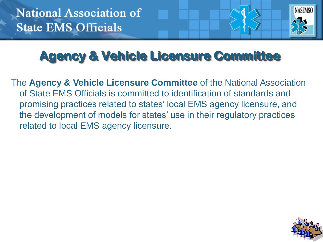

## **Agency & Vehicle Licensure Committee**

The **Agency & Vehicle Licensure Committee** of the National Association of State EMS Officials is committed to identification of standards and promising practices related to states' local EMS agency licensure, and the development of models for states' use in their regulatory practices related to local EMS agency licensure.

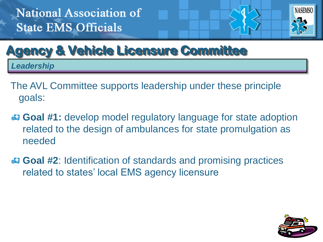

### **Agency & Vehicle Licensure Committee**

*Leadership*

- The AVL Committee supports leadership under these principle goals:
- **Goal #1:** develop model regulatory language for state adoption related to the design of ambulances for state promulgation as needed
- **Goal #2**: Identification of standards and promising practices related to states' local EMS agency licensure

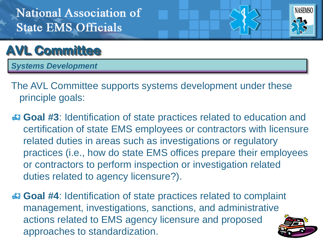

#### **AVL Committee**

*Systems Development*

- The AVL Committee supports systems development under these principle goals:
- **Goal #3**: Identification of state practices related to education and certification of state EMS employees or contractors with licensure related duties in areas such as investigations or regulatory practices (i.e., how do state EMS offices prepare their employees or contractors to perform inspection or investigation related duties related to agency licensure?).
- **Goal #4**: Identification of state practices related to complaint management, investigations, sanctions, and administrative actions related to EMS agency licensure and proposed approaches to standardization.

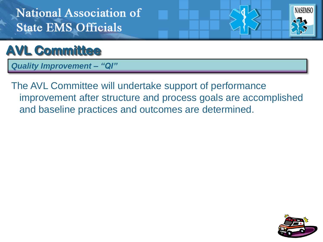



*Quality Improvement – "QI"*

The AVL Committee will undertake support of performance improvement after structure and process goals are accomplished and baseline practices and outcomes are determined.

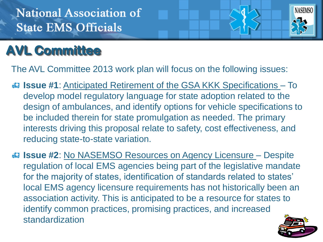

#### **AVL Committee**

The AVL Committee 2013 work plan will focus on the following issues:

- **ISSUE #1**: Anticipated Retirement of the GSA KKK Specifications To develop model regulatory language for state adoption related to the design of ambulances, and identify options for vehicle specifications to be included therein for state promulgation as needed. The primary interests driving this proposal relate to safety, cost effectiveness, and reducing state-to-state variation.
- **ISSUE #2: No NASEMSO Resources on Agency Licensure Despite** regulation of local EMS agencies being part of the legislative mandate for the majority of states, identification of standards related to states' local EMS agency licensure requirements has not historically been an association activity. This is anticipated to be a resource for states to identify common practices, promising practices, and increased standardization